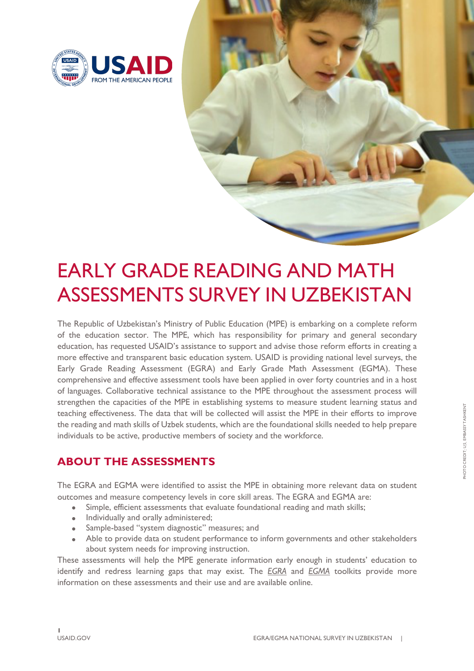

# EARLY GRADE READING AND MATH ASSESSMENTS SURVEY IN UZBEKISTAN

The Republic of Uzbekistan's Ministry of Public Education (MPE) is embarking on a complete reform of the education sector. The MPE, which has responsibility for primary and general secondary education, has requested USAID's assistance to support and advise those reform efforts in creating a more effective and transparent basic education system. USAID is providing national level surveys, the Early Grade Reading Assessment (EGRA) and Early Grade Math Assessment (EGMA). These comprehensive and effective assessment tools have been applied in over forty countries and in a host of languages. Collaborative technical assistance to the MPE throughout the assessment process will strengthen the capacities of the MPE in establishing systems to measure student learning status and teaching effectiveness. The data that will be collected will assist the MPE in their efforts to improve the reading and math skills of Uzbek students, which are the foundational skills needed to help prepare individuals to be active, productive members of society and the workforce.

#### **ABOUT THE ASSESSMENTS**

The EGRA and EGMA were identified to assist the MPE in obtaining more relevant data on student outcomes and measure competency levels in core skill areas. The EGRA and EGMA are:

- Simple, efficient assessments that evaluate foundational reading and math skills;
- Individually and orally administered;
- Sample-based "system diagnostic" measures; and
- Able to provide data on student performance to inform governments and other stakeholders about system needs for improving instruction.

These assessments will help the MPE generate information early enough in students' education to identify and redress learning gaps that may exist. The *EGRA* and *EGMA* toolkits provide more information on these assessments and their use and are available online.